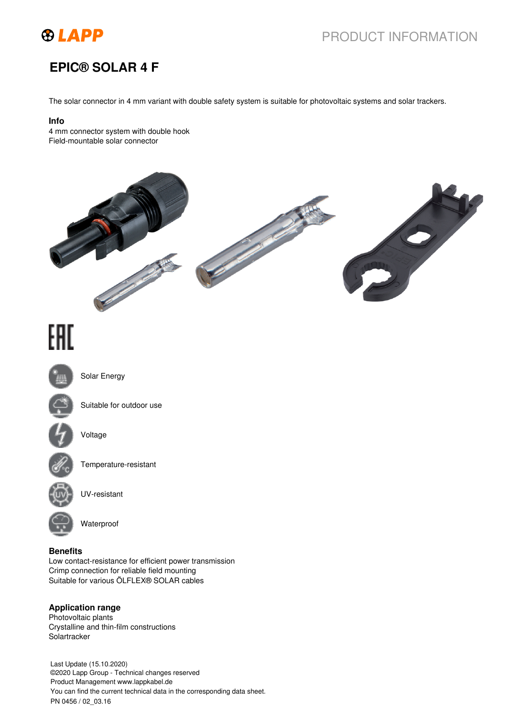

## PRODUCT INFORMATION

## **EPIC® SOLAR 4 F**

The solar connector in 4 mm variant with double safety system is suitable for photovoltaic systems and solar trackers.

#### **Info**

4 mm connector system with double hook Field-mountable solar connector



# EAC



Solar Energy



Suitable for outdoor use



Voltage



Temperature-resistant



UV-resistant



Waterproof

#### **Benefits**

Low contact-resistance for efficient power transmission Crimp connection for reliable field mounting Suitable for various ÖLFLEX® SOLAR cables

#### **Application range**

Photovoltaic plants Crystalline and thin-film constructions **Solartracker** 

Last Update (15.10.2020) ©2020 Lapp Group - Technical changes reserved Product Management www.lappkabel.de You can find the current technical data in the corresponding data sheet. PN 0456 / 02\_03.16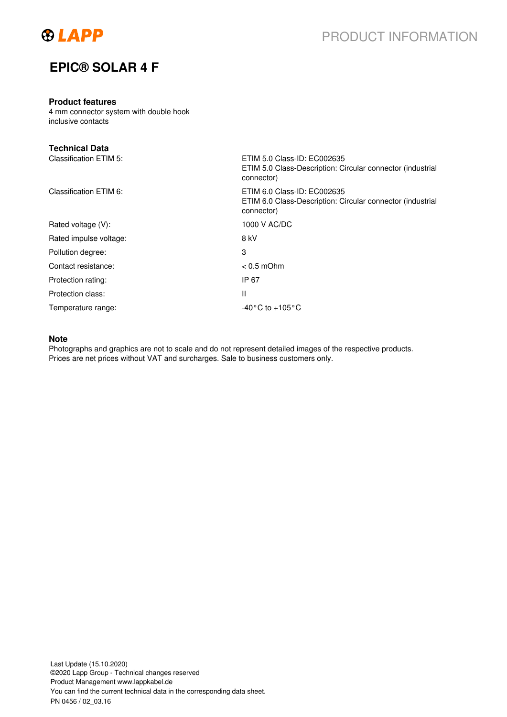

## **EPIC® SOLAR 4 F**

#### **Product features**

4 mm connector system with double hook inclusive contacts

| <b>Technical Data</b>  |                                                                                                         |
|------------------------|---------------------------------------------------------------------------------------------------------|
| Classification ETIM 5: | ETIM 5.0 Class-ID: EC002635<br>ETIM 5.0 Class-Description: Circular connector (industrial<br>connector) |
| Classification ETIM 6: | ETIM 6.0 Class-ID: EC002635<br>ETIM 6.0 Class-Description: Circular connector (industrial<br>connector) |
| Rated voltage (V):     | 1000 V AC/DC                                                                                            |
| Rated impulse voltage: | 8 kV                                                                                                    |
| Pollution degree:      | 3                                                                                                       |
| Contact resistance:    | $< 0.5$ mOhm                                                                                            |
| Protection rating:     | IP 67                                                                                                   |
| Protection class:      | $\mathsf{I}$                                                                                            |
| Temperature range:     | $-40\degree$ C to $+105\degree$ C                                                                       |

#### **Note**

Photographs and graphics are not to scale and do not represent detailed images of the respective products. Prices are net prices without VAT and surcharges. Sale to business customers only.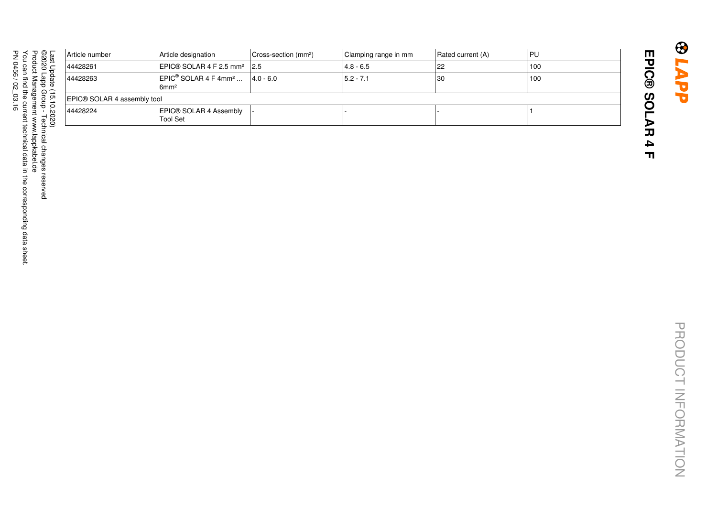| ast<br>C<br>pdate<br>≘<br>c<br>∸<br>○<br>5S<br>8 | Article number              | Article designation                                                                 | Cross-section (mm <sup>2</sup> ) | Clamping range in mm | Rated current (A) | l PU |  |  |
|--------------------------------------------------|-----------------------------|-------------------------------------------------------------------------------------|----------------------------------|----------------------|-------------------|------|--|--|
|                                                  | 44428261                    | EPIC@SOLAR4F2.5mm <sup>2</sup>  2.5                                                 |                                  | $ 4.8 - 6.5 $        | 22                | 100  |  |  |
|                                                  | 44428263                    | $ EPIC^{\circledcirc}$ SOLAR 4 F 4mm <sup>2</sup> $ 4.0 - 6.0 $<br>6mm <sup>2</sup> |                                  | $15.2 - 7.1$         | 30                | 100  |  |  |
|                                                  | EPIC® SOLAR 4 assembly tool |                                                                                     |                                  |                      |                   |      |  |  |
|                                                  | 44428224                    | EPIC® SOLAR 4 Assembly  <br><b>Tool Set</b>                                         |                                  |                      |                   |      |  |  |
|                                                  |                             |                                                                                     |                                  |                      |                   |      |  |  |

@2020 Lapp Group - Technical changes reserved<br>Product Management www.lappkabel.de<br>You can find the current technical data in the corresponding data sheet.<br>PN 0456 / 02\_03.16 You can find the current technical data in the corresponding data sheet. ©2020 Lapp Group - Technical changes reservedPN 0456 / 02\_03.16 Product Management www.lappkabel.de

**EPIC® SOLAR 4 F**

EPIC® SOLAR 4 F

**BLAPP**